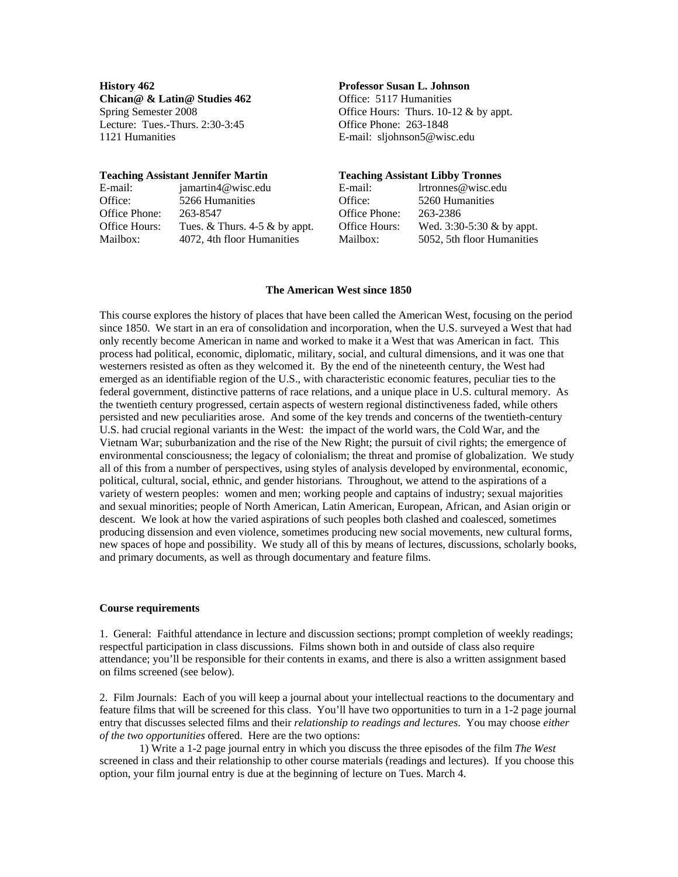**History 462 Professor Susan L. Johnson**  Chican<sup>®</sup> & Latin<sup>®</sup> Studies 462 Office: 5117 Humanities Lecture: Tues.-Thurs. 2:30-3:45 Office Phone: 263-1848 1121 Humanities E-mail: sljohnson5@wisc.edu

Spring Semester 2008 Office Hours: Thurs. 10-12 & by appt.

|               | <b>Teaching Assistant Jennifer Martin</b> | <b>Teaching Assistant Libby Tronnes</b> |                              |
|---------------|-------------------------------------------|-----------------------------------------|------------------------------|
| E-mail:       | jamartin4@wisc.edu                        | E-mail:                                 | lrtronnes@wisc.edu           |
| Office:       | 5266 Humanities                           | Office:                                 | 5260 Humanities              |
| Office Phone: | 263-8547                                  | Office Phone:                           | 263-2386                     |
| Office Hours: | Tues. $&$ Thurs. 4-5 $&$ by appt.         | Office Hours:                           | Wed. $3:30-5:30 \& by$ appt. |
| Mailbox:      | 4072, 4th floor Humanities                | Mailbox:                                | 5052, 5th floor Humanities   |

#### **The American West since 1850**

This course explores the history of places that have been called the American West, focusing on the period since 1850. We start in an era of consolidation and incorporation, when the U.S. surveyed a West that had only recently become American in name and worked to make it a West that was American in fact. This process had political, economic, diplomatic, military, social, and cultural dimensions, and it was one that westerners resisted as often as they welcomed it. By the end of the nineteenth century, the West had emerged as an identifiable region of the U.S., with characteristic economic features, peculiar ties to the federal government, distinctive patterns of race relations, and a unique place in U.S. cultural memory. As the twentieth century progressed, certain aspects of western regional distinctiveness faded, while others persisted and new peculiarities arose. And some of the key trends and concerns of the twentieth-century U.S. had crucial regional variants in the West: the impact of the world wars, the Cold War, and the Vietnam War; suburbanization and the rise of the New Right; the pursuit of civil rights; the emergence of environmental consciousness; the legacy of colonialism; the threat and promise of globalization. We study all of this from a number of perspectives, using styles of analysis developed by environmental, economic, political, cultural, social, ethnic, and gender historians. Throughout, we attend to the aspirations of a variety of western peoples: women and men; working people and captains of industry; sexual majorities and sexual minorities; people of North American, Latin American, European, African, and Asian origin or descent. We look at how the varied aspirations of such peoples both clashed and coalesced, sometimes producing dissension and even violence, sometimes producing new social movements, new cultural forms, new spaces of hope and possibility. We study all of this by means of lectures, discussions, scholarly books, and primary documents, as well as through documentary and feature films.

#### **Course requirements**

1. General: Faithful attendance in lecture and discussion sections; prompt completion of weekly readings; respectful participation in class discussions. Films shown both in and outside of class also require attendance; you'll be responsible for their contents in exams, and there is also a written assignment based on films screened (see below).

2. Film Journals: Each of you will keep a journal about your intellectual reactions to the documentary and feature films that will be screened for this class. You'll have two opportunities to turn in a 1-2 page journal entry that discusses selected films and their *relationship to readings and lectures*. You may choose *either of the two opportunities* offered. Here are the two options:

1) Write a 1-2 page journal entry in which you discuss the three episodes of the film *The West* screened in class and their relationship to other course materials (readings and lectures). If you choose this option, your film journal entry is due at the beginning of lecture on Tues. March 4.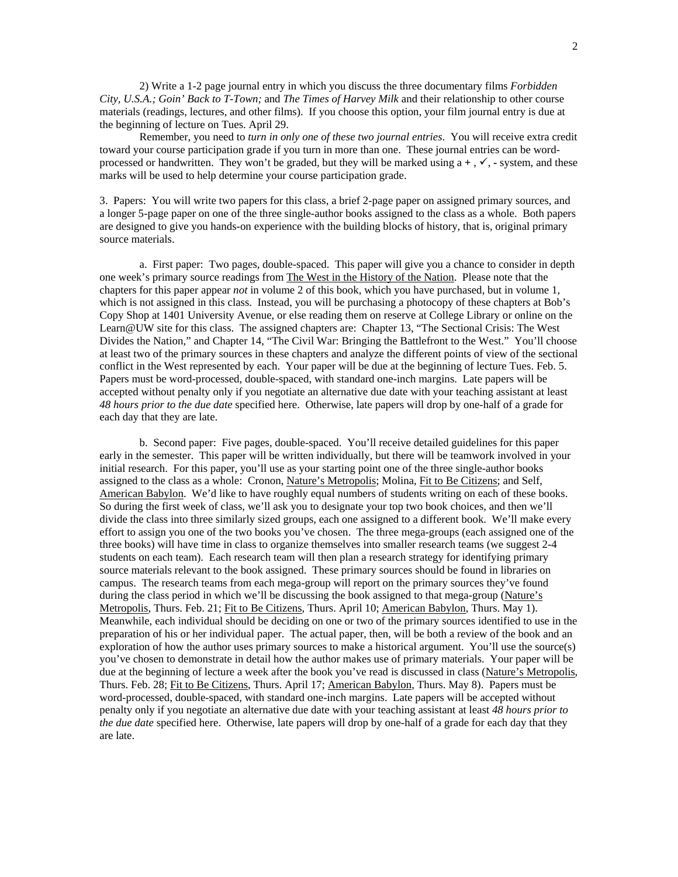2) Write a 1-2 page journal entry in which you discuss the three documentary films *Forbidden City, U.S.A.; Goin' Back to T-Town;* and *The Times of Harvey Milk* and their relationship to other course materials (readings, lectures, and other films). If you choose this option, your film journal entry is due at the beginning of lecture on Tues. April 29.

Remember, you need to *turn in only one of these two journal entries*. You will receive extra credit toward your course participation grade if you turn in more than one. These journal entries can be wordprocessed or handwritten. They won't be graded, but they will be marked using  $a +$ ,  $\checkmark$ ,  $\checkmark$ , system, and these marks will be used to help determine your course participation grade.

3. Papers: You will write two papers for this class, a brief 2-page paper on assigned primary sources, and a longer 5-page paper on one of the three single-author books assigned to the class as a whole. Both papers are designed to give you hands-on experience with the building blocks of history, that is, original primary source materials.

a. First paper: Two pages, double-spaced. This paper will give you a chance to consider in depth one week's primary source readings from The West in the History of the Nation. Please note that the chapters for this paper appear *not* in volume 2 of this book, which you have purchased, but in volume 1, which is not assigned in this class. Instead, you will be purchasing a photocopy of these chapters at Bob's Copy Shop at 1401 University Avenue, or else reading them on reserve at College Library or online on the Learn@UW site for this class. The assigned chapters are: Chapter 13, "The Sectional Crisis: The West Divides the Nation," and Chapter 14, "The Civil War: Bringing the Battlefront to the West." You'll choose at least two of the primary sources in these chapters and analyze the different points of view of the sectional conflict in the West represented by each. Your paper will be due at the beginning of lecture Tues. Feb. 5. Papers must be word-processed, double-spaced, with standard one-inch margins. Late papers will be accepted without penalty only if you negotiate an alternative due date with your teaching assistant at least *48 hours prior to the due date* specified here. Otherwise, late papers will drop by one-half of a grade for each day that they are late.

b. Second paper: Five pages, double-spaced. You'll receive detailed guidelines for this paper early in the semester. This paper will be written individually, but there will be teamwork involved in your initial research. For this paper, you'll use as your starting point one of the three single-author books assigned to the class as a whole: Cronon, Nature's Metropolis; Molina, Fit to Be Citizens; and Self, American Babylon. We'd like to have roughly equal numbers of students writing on each of these books. So during the first week of class, we'll ask you to designate your top two book choices, and then we'll divide the class into three similarly sized groups, each one assigned to a different book. We'll make every effort to assign you one of the two books you've chosen. The three mega-groups (each assigned one of the three books) will have time in class to organize themselves into smaller research teams (we suggest 2-4 students on each team). Each research team will then plan a research strategy for identifying primary source materials relevant to the book assigned. These primary sources should be found in libraries on campus. The research teams from each mega-group will report on the primary sources they've found during the class period in which we'll be discussing the book assigned to that mega-group (Nature's Metropolis, Thurs. Feb. 21; Fit to Be Citizens, Thurs. April 10; American Babylon, Thurs. May 1). Meanwhile, each individual should be deciding on one or two of the primary sources identified to use in the preparation of his or her individual paper. The actual paper, then, will be both a review of the book and an exploration of how the author uses primary sources to make a historical argument. You'll use the source(s) you've chosen to demonstrate in detail how the author makes use of primary materials. Your paper will be due at the beginning of lecture a week after the book you've read is discussed in class (Nature's Metropolis, Thurs. Feb. 28; Fit to Be Citizens, Thurs. April 17; American Babylon, Thurs. May 8). Papers must be word-processed, double-spaced, with standard one-inch margins. Late papers will be accepted without penalty only if you negotiate an alternative due date with your teaching assistant at least *48 hours prior to the due date* specified here. Otherwise, late papers will drop by one-half of a grade for each day that they are late.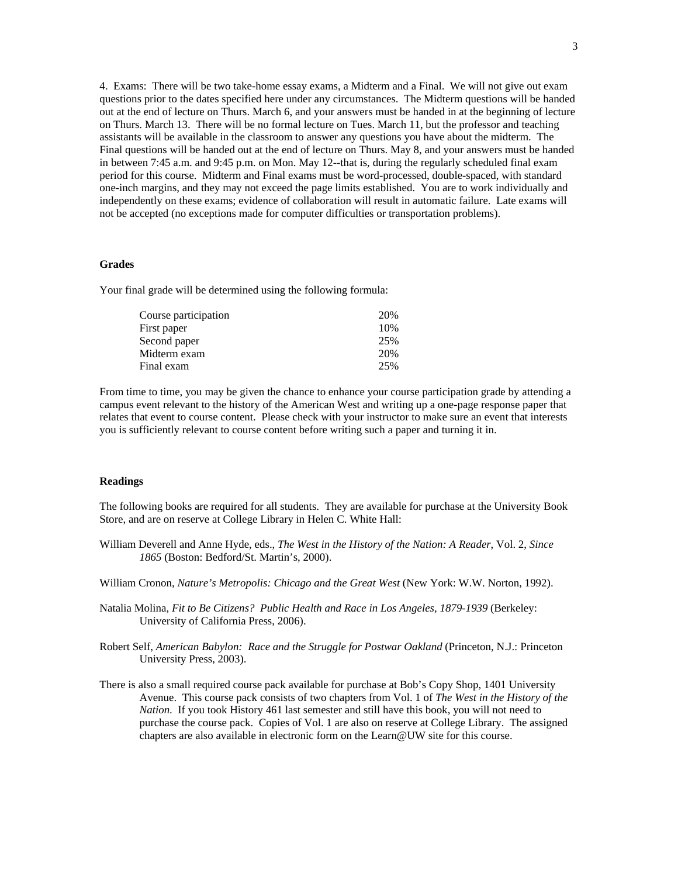4. Exams: There will be two take-home essay exams, a Midterm and a Final. We will not give out exam questions prior to the dates specified here under any circumstances. The Midterm questions will be handed out at the end of lecture on Thurs. March 6, and your answers must be handed in at the beginning of lecture on Thurs. March 13. There will be no formal lecture on Tues. March 11, but the professor and teaching assistants will be available in the classroom to answer any questions you have about the midterm. The Final questions will be handed out at the end of lecture on Thurs. May 8, and your answers must be handed in between 7:45 a.m. and 9:45 p.m. on Mon. May 12--that is, during the regularly scheduled final exam period for this course. Midterm and Final exams must be word-processed, double-spaced, with standard one-inch margins, and they may not exceed the page limits established. You are to work individually and independently on these exams; evidence of collaboration will result in automatic failure. Late exams will not be accepted (no exceptions made for computer difficulties or transportation problems).

### **Grades**

Your final grade will be determined using the following formula:

| Course participation | 20% |
|----------------------|-----|
| First paper          | 10% |
| Second paper         | 25% |
| Midterm exam         | 20% |
| Final exam           | 25% |

From time to time, you may be given the chance to enhance your course participation grade by attending a campus event relevant to the history of the American West and writing up a one-page response paper that relates that event to course content. Please check with your instructor to make sure an event that interests you is sufficiently relevant to course content before writing such a paper and turning it in.

#### **Readings**

The following books are required for all students. They are available for purchase at the University Book Store, and are on reserve at College Library in Helen C. White Hall:

- William Deverell and Anne Hyde, eds., *The West in the History of the Nation: A Reader*, Vol. 2, *Since 1865* (Boston: Bedford/St. Martin's, 2000).
- William Cronon, *Nature's Metropolis: Chicago and the Great West* (New York: W.W. Norton, 1992).
- Natalia Molina, *Fit to Be Citizens? Public Health and Race in Los Angeles, 1879-1939* (Berkeley: University of California Press, 2006).
- Robert Self, *American Babylon: Race and the Struggle for Postwar Oakland* (Princeton, N.J.: Princeton University Press, 2003).
- There is also a small required course pack available for purchase at Bob's Copy Shop, 1401 University Avenue. This course pack consists of two chapters from Vol. 1 of *The West in the History of the Nation*. If you took History 461 last semester and still have this book, you will not need to purchase the course pack. Copies of Vol. 1 are also on reserve at College Library. The assigned chapters are also available in electronic form on the Learn@UW site for this course.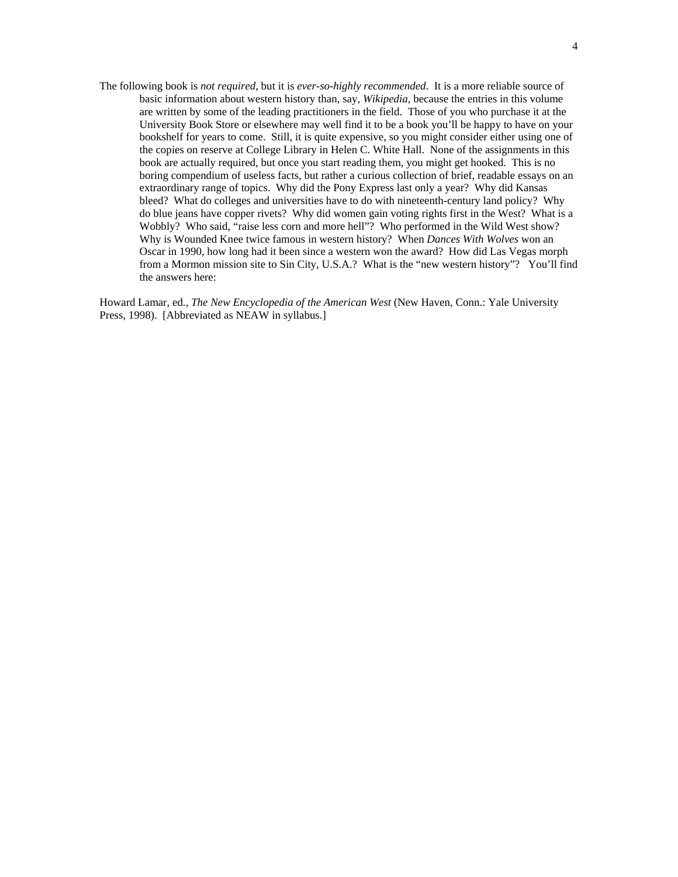The following book is *not required*, but it is *ever-so-highly recommended*. It is a more reliable source of basic information about western history than, say, *Wikipedia*, because the entries in this volume are written by some of the leading practitioners in the field. Those of you who purchase it at the University Book Store or elsewhere may well find it to be a book you'll be happy to have on your bookshelf for years to come. Still, it is quite expensive, so you might consider either using one of the copies on reserve at College Library in Helen C. White Hall. None of the assignments in this book are actually required, but once you start reading them, you might get hooked. This is no boring compendium of useless facts, but rather a curious collection of brief, readable essays on an extraordinary range of topics. Why did the Pony Express last only a year? Why did Kansas bleed? What do colleges and universities have to do with nineteenth-century land policy? Why do blue jeans have copper rivets? Why did women gain voting rights first in the West? What is a Wobbly? Who said, "raise less corn and more hell"? Who performed in the Wild West show? Why is Wounded Knee twice famous in western history? When *Dances With Wolves* won an Oscar in 1990, how long had it been since a western won the award? How did Las Vegas morph from a Mormon mission site to Sin City, U.S.A.? What is the "new western history"? You'll find the answers here:

Howard Lamar, ed., *The New Encyclopedia of the American West* (New Haven, Conn.: Yale University Press, 1998). [Abbreviated as NEAW in syllabus.]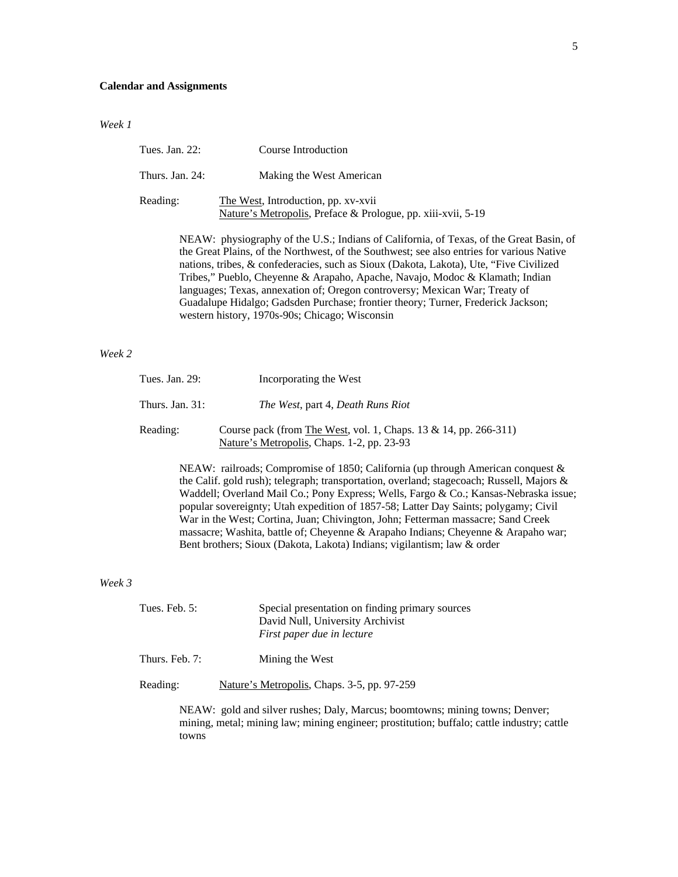## **Calendar and Assignments**

#### *Week 1*

| Tues. Jan. 22:  | Course Introduction                                                                                 |
|-----------------|-----------------------------------------------------------------------------------------------------|
| Thurs. Jan. 24: | Making the West American                                                                            |
| Reading:        | The West, Introduction, pp. xv-xvii<br>Nature's Metropolis, Preface & Prologue, pp. xiii-xvii, 5-19 |
|                 | NE AW, physiography of the U.S. Indians of California, of Tayes, of the Creet Begin                 |

NEAW: physiography of the U.S.; Indians of California, of Texas, of the Great Basin, of the Great Plains, of the Northwest, of the Southwest; see also entries for various Native nations, tribes, & confederacies, such as Sioux (Dakota, Lakota), Ute, "Five Civilized Tribes," Pueblo, Cheyenne & Arapaho, Apache, Navajo, Modoc & Klamath; Indian languages; Texas, annexation of; Oregon controversy; Mexican War; Treaty of Guadalupe Hidalgo; Gadsden Purchase; frontier theory; Turner, Frederick Jackson; western history, 1970s-90s; Chicago; Wisconsin

### *Week 2*

| Tues. Jan. 29:     | Incorporating the West                                                                                         |
|--------------------|----------------------------------------------------------------------------------------------------------------|
| Thurs. Jan. $31$ : | <i>The West, part 4, Death Runs Riot</i>                                                                       |
| Reading:           | Course pack (from The West, vol. 1, Chaps. 13 & 14, pp. 266-311)<br>Nature's Metropolis, Chaps. 1-2, pp. 23-93 |

NEAW: railroads; Compromise of 1850; California (up through American conquest & the Calif. gold rush); telegraph; transportation, overland; stagecoach; Russell, Majors & Waddell; Overland Mail Co.; Pony Express; Wells, Fargo & Co.; Kansas-Nebraska issue; popular sovereignty; Utah expedition of 1857-58; Latter Day Saints; polygamy; Civil War in the West; Cortina, Juan; Chivington, John; Fetterman massacre; Sand Creek massacre; Washita, battle of; Cheyenne & Arapaho Indians; Cheyenne & Arapaho war; Bent brothers; Sioux (Dakota, Lakota) Indians; vigilantism; law & order

#### *Week 3*

| Tues. Feb. $5:$ | Special presentation on finding primary sources<br>David Null, University Archivist                                                                                        |
|-----------------|----------------------------------------------------------------------------------------------------------------------------------------------------------------------------|
|                 | First paper due in lecture                                                                                                                                                 |
| Thurs. Feb. 7:  | Mining the West                                                                                                                                                            |
| Reading:        | Nature's Metropolis, Chaps. 3-5, pp. 97-259                                                                                                                                |
| towns           | NEAW: gold and silver rushes; Daly, Marcus; boomtowns; mining towns; Denver;<br>mining, metal; mining law; mining engineer; prostitution; buffalo; cattle industry; cattle |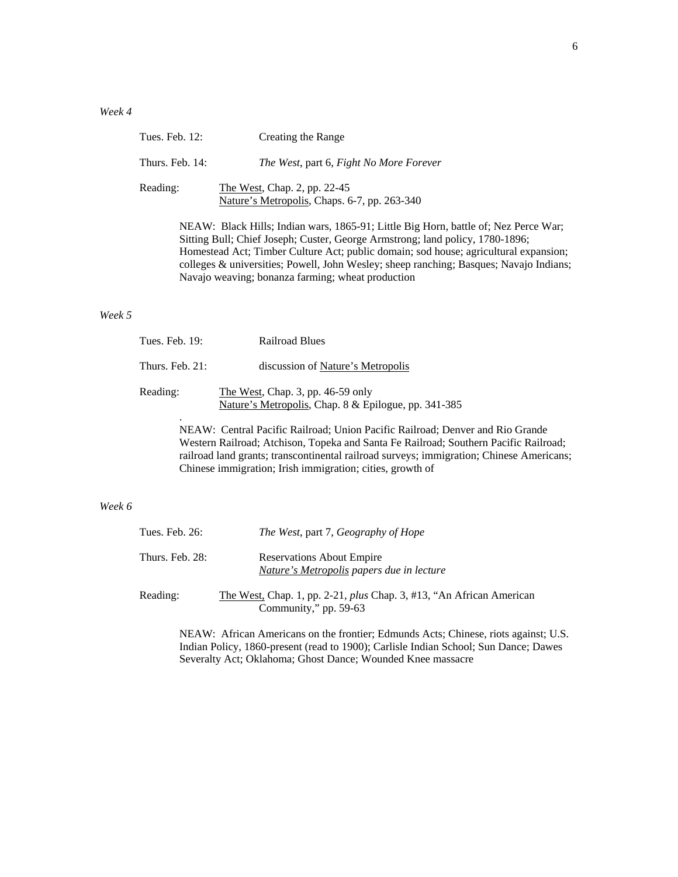| Tues. Feb. 12:                                                                                                                                                                                                                                                                                                                                                                                              | Creating the Range                                                           |
|-------------------------------------------------------------------------------------------------------------------------------------------------------------------------------------------------------------------------------------------------------------------------------------------------------------------------------------------------------------------------------------------------------------|------------------------------------------------------------------------------|
| Thurs. Feb. 14:                                                                                                                                                                                                                                                                                                                                                                                             | The West, part 6, Fight No More Forever                                      |
| Reading:                                                                                                                                                                                                                                                                                                                                                                                                    | The West, Chap. 2, pp. 22-45<br>Nature's Metropolis, Chaps. 6-7, pp. 263-340 |
| NEAW: Black Hills; Indian wars, 1865-91; Little Big Horn, battle of; Nez Perce War;<br>Sitting Bull; Chief Joseph; Custer, George Armstrong; land policy, 1780-1896;<br>Homestead Act; Timber Culture Act; public domain; sod house; agricultural expansion;<br>colleges & universities; Powell, John Wesley; sheep ranching; Basques; Navajo Indians;<br>Navajo weaving; bonanza farming; wheat production |                                                                              |

#### *Week 5*

| Tues. Feb. 19:     | <b>Railroad Blues</b>                                                                       |
|--------------------|---------------------------------------------------------------------------------------------|
| Thurs. Feb. $21$ : | discussion of Nature's Metropolis                                                           |
| Reading:           | The West, Chap. 3, pp. $46-59$ only<br>Nature's Metropolis, Chap. 8 & Epilogue, pp. 341-385 |
| ٠                  | NEAW: Central Pacific Railroad; Union Pacific Railroad; Denver and Rio Grande               |

Western Railroad; Atchison, Topeka and Santa Fe Railroad; Southern Pacific Railroad; railroad land grants; transcontinental railroad surveys; immigration; Chinese Americans; Chinese immigration; Irish immigration; cities, growth of

## *Week 6*

| Tues. Feb. $26$ : | <i>The West, part 7, Geography of Hope</i>                                                           |
|-------------------|------------------------------------------------------------------------------------------------------|
| Thurs. Feb. 28:   | <b>Reservations About Empire</b><br>Nature's Metropolis papers due in lecture                        |
| Reading:          | The West, Chap. 1, pp. 2-21, <i>plus</i> Chap. 3, #13, "An African American<br>Community," pp. 59-63 |

NEAW: African Americans on the frontier; Edmunds Acts; Chinese, riots against; U.S. Indian Policy, 1860-present (read to 1900); Carlisle Indian School; Sun Dance; Dawes Severalty Act; Oklahoma; Ghost Dance; Wounded Knee massacre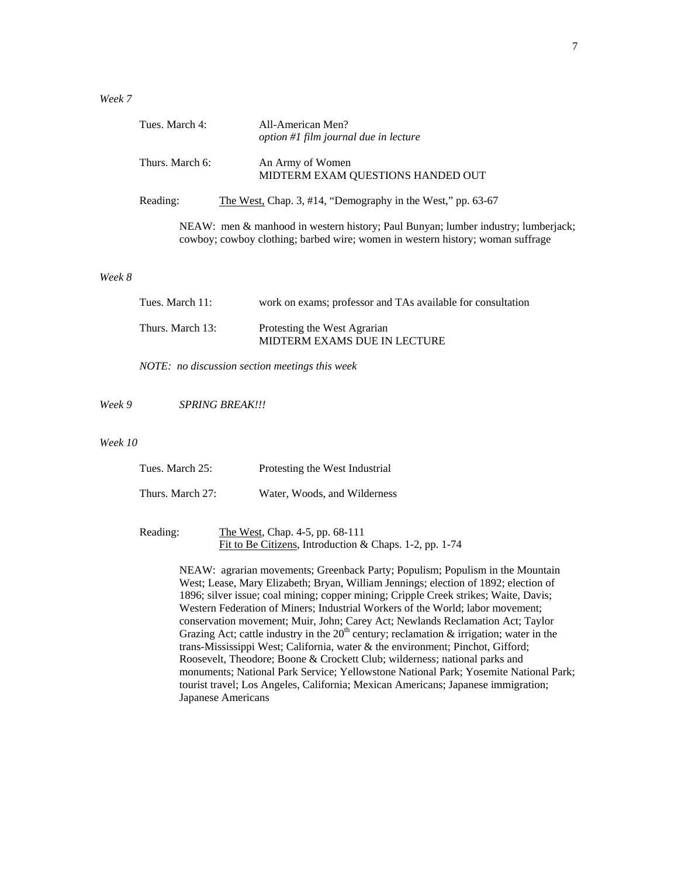## *Week 7*

| Tues. March 4:  | All-American Men?<br>option #1 film journal due in lecture  |
|-----------------|-------------------------------------------------------------|
| Thurs. March 6: | An Army of Women<br>MIDTERM EXAM QUESTIONS HANDED OUT       |
| Reading:        | The West, Chap. 3, #14, "Demography in the West," pp. 63-67 |

 NEAW: men & manhood in western history; Paul Bunyan; lumber industry; lumberjack; cowboy; cowboy clothing; barbed wire; women in western history; woman suffrage

#### *Week 8*

| Tues. March 11:  | work on exams; professor and TAs available for consultation  |
|------------------|--------------------------------------------------------------|
| Thurs. March 13: | Protesting the West Agrarian<br>MIDTERM EXAMS DUE IN LECTURE |

*NOTE: no discussion section meetings this week* 

*Week 9 SPRING BREAK!!!* 

#### *Week 10*

| Tues. March 25:  | Protesting the West Industrial |
|------------------|--------------------------------|
| Thurs. March 27: | Water, Woods, and Wilderness   |

 Reading: The West, Chap. 4-5, pp. 68-111 Fit to Be Citizens, Introduction & Chaps. 1-2, pp. 1-74

> NEAW: agrarian movements; Greenback Party; Populism; Populism in the Mountain West; Lease, Mary Elizabeth; Bryan, William Jennings; election of 1892; election of 1896; silver issue; coal mining; copper mining; Cripple Creek strikes; Waite, Davis; Western Federation of Miners; Industrial Workers of the World; labor movement; conservation movement; Muir, John; Carey Act; Newlands Reclamation Act; Taylor Grazing Act; cattle industry in the  $20<sup>th</sup>$  century; reclamation & irrigation; water in the trans-Mississippi West; California, water & the environment; Pinchot, Gifford; Roosevelt, Theodore; Boone & Crockett Club; wilderness; national parks and monuments; National Park Service; Yellowstone National Park; Yosemite National Park; tourist travel; Los Angeles, California; Mexican Americans; Japanese immigration; Japanese Americans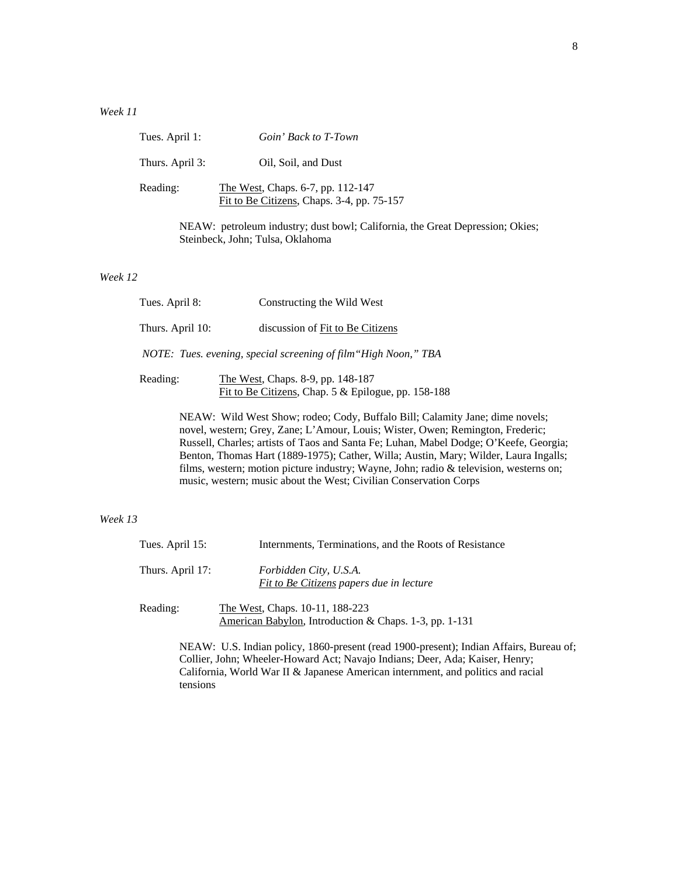## *Week 11*

| Tues. April 1:  | Goin' Back to T-Town                                                                                              |
|-----------------|-------------------------------------------------------------------------------------------------------------------|
| Thurs. April 3: | Oil, Soil, and Dust                                                                                               |
| Reading:        | The West, Chaps. 6-7, pp. 112-147<br>Fit to Be Citizens, Chaps. 3-4, pp. 75-157                                   |
|                 | NEAW: petroleum industry; dust bowl; California, the Great Depression; Okies;<br>Steinbeck, John; Tulsa, Oklahoma |

## *Week 12*

| Tues. April 8:   | Constructing the Wild West                                                               |  |  |
|------------------|------------------------------------------------------------------------------------------|--|--|
| Thurs. April 10: | discussion of Fit to Be Citizens                                                         |  |  |
|                  | NOTE: Tues. evening, special screening of film "High Noon," TBA                          |  |  |
| Reading:         | The West, Chaps. 8-9, pp. 148-187<br>Fit to Be Citizens, Chap. 5 & Epilogue, pp. 158-188 |  |  |

NEAW: Wild West Show; rodeo; Cody, Buffalo Bill; Calamity Jane; dime novels; novel, western; Grey, Zane; L'Amour, Louis; Wister, Owen; Remington, Frederic; Russell, Charles; artists of Taos and Santa Fe; Luhan, Mabel Dodge; O'Keefe, Georgia; Benton, Thomas Hart (1889-1975); Cather, Willa; Austin, Mary; Wilder, Laura Ingalls; films, western; motion picture industry; Wayne, John; radio & television, westerns on; music, western; music about the West; Civilian Conservation Corps

## *Week 13*

| Tues. April 15:  | Internments, Terminations, and the Roots of Resistance                                                                                                                 |
|------------------|------------------------------------------------------------------------------------------------------------------------------------------------------------------------|
| Thurs. April 17: | Forbidden City, U.S.A.<br>Fit to Be Citizens papers due in lecture                                                                                                     |
| Reading:         | The West, Chaps. 10-11, 188-223<br>American Babylon, Introduction & Chaps. 1-3, pp. 1-131                                                                              |
|                  | NEAW: U.S. Indian policy, 1860-present (read 1900-present); Indian Affairs, Bureau of;<br>Collier, John; Wheeler-Howard Act; Navajo Indians; Deer, Ada; Kaiser, Henry; |

California, World War II & Japanese American internment, and politics and racial tensions